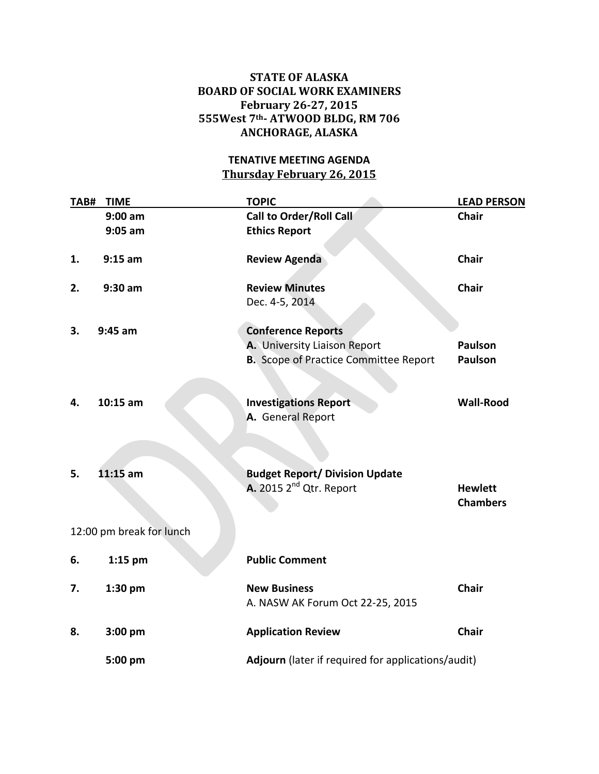## **STATE OF ALASKA BOARD OF SOCIAL WORK EXAMINERS February 26-27, 2015 555West 7th- ATWOOD BLDG, RM 706 ANCHORAGE, ALASKA**

## **TENATIVE MEETING AGENDA Thursday February 26, 2015**

| TAB# | <b>TIME</b>              | <b>TOPIC</b>                                 | <b>LEAD PERSON</b>                                 |  |
|------|--------------------------|----------------------------------------------|----------------------------------------------------|--|
|      | $9:00$ am                | <b>Call to Order/Roll Call</b>               | <b>Chair</b>                                       |  |
|      | $9:05$ am                | <b>Ethics Report</b>                         |                                                    |  |
| 1.   | $9:15$ am                | <b>Review Agenda</b>                         | <b>Chair</b>                                       |  |
| 2.   | 9:30 am                  | <b>Review Minutes</b>                        | <b>Chair</b>                                       |  |
|      |                          | Dec. 4-5, 2014                               |                                                    |  |
| 3.   | $9:45$ am                | <b>Conference Reports</b>                    |                                                    |  |
|      |                          | A. University Liaison Report                 | <b>Paulson</b>                                     |  |
|      |                          | <b>B.</b> Scope of Practice Committee Report | <b>Paulson</b>                                     |  |
| 4.   | $10:15$ am               | <b>Investigations Report</b>                 | <b>Wall-Rood</b>                                   |  |
|      |                          | A. General Report                            |                                                    |  |
|      |                          |                                              |                                                    |  |
| 5.   | $11:15$ am               | <b>Budget Report/ Division Update</b>        |                                                    |  |
|      |                          | A. 2015 2 <sup>nd</sup> Qtr. Report          | <b>Hewlett</b><br><b>Chambers</b>                  |  |
|      | 12:00 pm break for lunch |                                              |                                                    |  |
| 6.   | $1:15$ pm                | <b>Public Comment</b>                        |                                                    |  |
| 7.   | $1:30$ pm                | <b>New Business</b>                          | <b>Chair</b>                                       |  |
|      |                          | A. NASW AK Forum Oct 22-25, 2015             |                                                    |  |
| 8.   | $3:00$ pm                | <b>Application Review</b>                    | <b>Chair</b>                                       |  |
|      | 5:00 pm                  |                                              | Adjourn (later if required for applications/audit) |  |